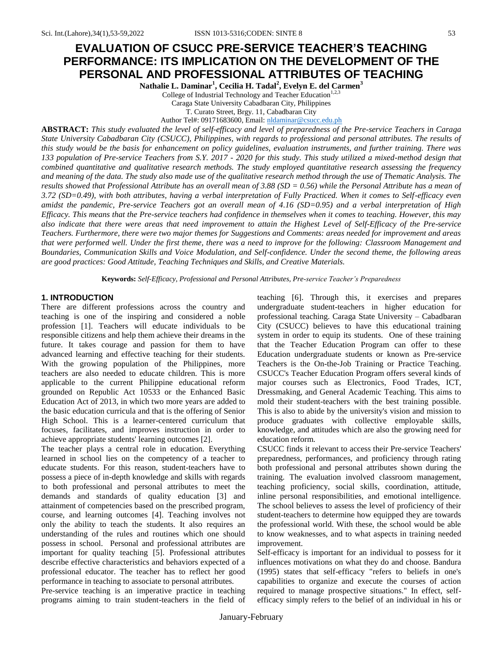# **EVALUATION OF CSUCC PRE-SERVICE TEACHER'S TEACHING PERFORMANCE: ITS IMPLICATION ON THE DEVELOPMENT OF THE PERSONAL AND PROFESSIONAL ATTRIBUTES OF TEACHING**

**Nathalie L. Daminar<sup>1</sup> , Cecilia H. Tadal<sup>2</sup> , Evelyn E. del Carmen<sup>3</sup>**

College of Industrial Technology and Teacher Education<sup>1,2,3</sup> Caraga State University Cabadbaran City, Philippines

T. Curato Street, Brgy. 11, Cabadbaran City

Author Tel#: 09171683600, Email: [nldaminar@csucc.edu.ph](mailto:nldaminar@csucc.edu.ph)

**ABSTRACT:** *This study evaluated the level of self-efficacy and level of preparedness of the Pre-service Teachers in Caraga State University Cabadbaran City (CSUCC), Philippines, with regards to professional and personal attributes. The results of this study would be the basis for enhancement on policy guidelines, evaluation instruments, and further training. There was 133 population of Pre-service Teachers from S.Y. 2017 - 2020 for this study. This study utilized a mixed-method design that combined quantitative and qualitative research methods. The study employed quantitative research assessing the frequency and meaning of the data. The study also made use of the qualitative research method through the use of Thematic Analysis. The results showed that Professional Attribute has an overall mean of 3.88 (SD = 0.56) while the Personal Attribute has a mean of 3.72 (SD=0.49), with both attributes, having a verbal interpretation of Fully Practiced. When it comes to Self-efficacy even amidst the pandemic, Pre-service Teachers got an overall mean of 4.16 (SD=0.95) and a verbal interpretation of High Efficacy. This means that the Pre-service teachers had confidence in themselves when it comes to teaching. However, this may also indicate that there were areas that need improvement to attain the Highest Level of Self-Efficacy of the Pre-service Teachers. Furthermore, there were two major themes for Suggestions and Comments: areas needed for improvement and areas that were performed well. Under the first theme, there was a need to improve for the following: Classroom Management and Boundaries, Communication Skills and Voice Modulation, and Self-confidence. Under the second theme, the following areas are good practices: Good Attitude, Teaching Techniques and Skills, and Creative Materials.*

**Keywords:** *Self-Efficacy, Professional and Personal Attributes, Pre-service Teacher's Preparedness*

## **1. INTRODUCTION**

There are different professions across the country and teaching is one of the inspiring and considered a noble profession [1]. Teachers will educate individuals to be responsible citizens and help them achieve their dreams in the future. It takes courage and passion for them to have advanced learning and effective teaching for their students. With the growing population of the Philippines, more teachers are also needed to educate children. This is more applicable to the current Philippine educational reform grounded on Republic Act 10533 or the Enhanced Basic Education Act of 2013, in which two more years are added to the basic education curricula and that is the offering of Senior High School. This is a learner-centered curriculum that focuses, facilitates, and improves instruction in order to achieve appropriate students' learning outcomes [2].

The teacher plays a central role in education. Everything learned in school lies on the competency of a teacher to educate students. For this reason, student-teachers have to possess a piece of in-depth knowledge and skills with regards to both professional and personal attributes to meet the demands and standards of quality education [3] and attainment of competencies based on the prescribed program, course, and learning outcomes [4]. Teaching involves not only the ability to teach the students. It also requires an understanding of the rules and routines which one should possess in school. Personal and professional attributes are important for quality teaching [5]. Professional attributes describe effective characteristics and behaviors expected of a professional educator. The teacher has to reflect her good performance in teaching to associate to personal attributes.

Pre-service teaching is an imperative practice in teaching programs aiming to train student-teachers in the field of teaching [6]. Through this, it exercises and prepares undergraduate student-teachers in higher education for professional teaching. Caraga State University – Cabadbaran City (CSUCC) believes to have this educational training system in order to equip its students. One of these training that the Teacher Education Program can offer to these Education undergraduate students or known as Pre-service Teachers is the On-the-Job Training or Practice Teaching. CSUCC's Teacher Education Program offers several kinds of major courses such as Electronics, Food Trades, ICT, Dressmaking, and General Academic Teaching. This aims to mold their student-teachers with the best training possible. This is also to abide by the university's vision and mission to produce graduates with collective employable skills, knowledge, and attitudes which are also the growing need for education reform.

CSUCC finds it relevant to access their Pre-service Teachers' preparedness, performances, and proficiency through rating both professional and personal attributes shown during the training. The evaluation involved classroom management, teaching proficiency, social skills, coordination, attitude, inline personal responsibilities, and emotional intelligence. The school believes to assess the level of proficiency of their student-teachers to determine how equipped they are towards the professional world. With these, the school would be able to know weaknesses, and to what aspects in training needed improvement.

Self-efficacy is important for an individual to possess for it influences motivations on what they do and choose. Bandura (1995) states that self-efficacy "refers to beliefs in one's capabilities to organize and execute the courses of action required to manage prospective situations." In effect, selfefficacy simply refers to the belief of an individual in his or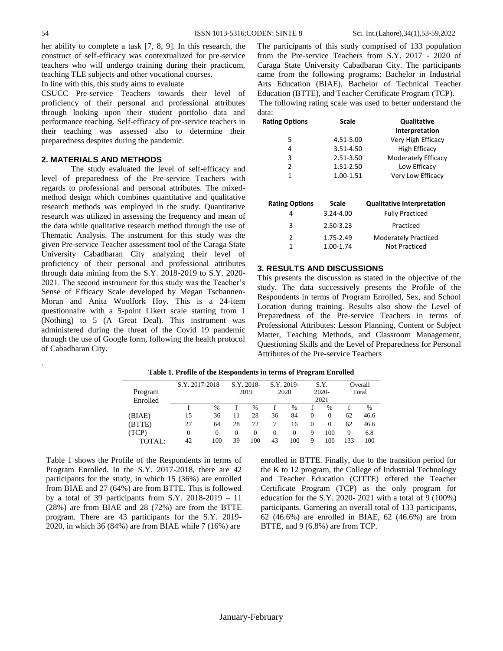her ability to complete a task [7, 8, 9]. In this research, the construct of self-efficacy was contextualized for pre-service teachers who will undergo training during their practicum, teaching TLE subjects and other vocational courses.

In line with this, this study aims to evaluate

CSUCC Pre-service Teachers towards their level of proficiency of their personal and professional attributes through looking upon their student portfolio data and performance teaching. Self-efficacy of pre-service teachers in their teaching was assessed also to determine their preparedness despites during the pandemic.

# **2. MATERIALS AND METHODS**

The study evaluated the level of self-efficacy and level of preparedness of the Pre-service Teachers with regards to professional and personal attributes. The mixedmethod design which combines quantitative and qualitative research methods was employed in the study. Quantitative research was utilized in assessing the frequency and mean of the data while qualitative research method through the use of Thematic Analysis. The instrument for this study was the given Pre-service Teacher assessment tool of the Caraga State University Cabadbaran City analyzing their level of proficiency of their personal and professional attributes through data mining from the S.Y. 2018-2019 to S.Y. 2020- 2021. The second instrument for this study was the Teacher's Sense of Efficacy Scale developed by Megan Tschannen-Moran and Anita Woolfork Hoy. This is a 24-item questionnaire with a 5-point Likert scale starting from 1 (Nothing) to 5 (A Great Deal). This instrument was administered during the threat of the Covid 19 pandemic through the use of Google form, following the health protocol of Cabadbaran City.

The participants of this study comprised of 133 population from the Pre-service Teachers from S.Y. 2017 - 2020 of Caraga State University Cabadbaran City. The participants came from the following programs: Bachelor in Industrial Arts Education (BIAE), Bachelor of Technical Teacher Education (BTTE), and Teacher Certificate Program (TCP). The following rating scale was used to better understand the data:

| <b>Rating Options</b> | <b>Scale</b> | <b>Qualitative</b><br><b>Interpretation</b> |
|-----------------------|--------------|---------------------------------------------|
| 5                     | 4.51-5.00    | Very High Efficacy                          |
| 4                     | 3.51-4.50    | <b>High Efficacy</b>                        |
| 3                     | 2.51-3.50    | Moderately Efficacy                         |
| 2                     | 1.51-2.50    | Low Efficacy                                |
| 1                     | 1.00-1.51    | Very Low Efficacy                           |
|                       |              |                                             |
| <b>Rating Options</b> | <b>Scale</b> | <b>Qualitative Interpretation</b>           |
| 4                     | 3.24-4.00    | <b>Fully Practiced</b>                      |
| 3                     | 2.50-3.23    | Practiced                                   |
| $\overline{2}$        | 1.75-2.49    | Moderately Practiced                        |
| 1                     | 1.00-1.74    | Not Practiced                               |

## **3. RESULTS AND DISCUSSIONS**

This presents the discussion as stated in the objective of the study. The data successively presents the Profile of the Respondents in terms of Program Enrolled, Sex, and School Location during training. Results also show the Level of Preparedness of the Pre-service Teachers in terms of Professional Attributes: Lesson Planning, Content or Subject Matter, Teaching Methods, and Classroom Management, Questioning Skills and the Level of Preparedness for Personal Attributes of the Pre-service Teachers

| Program<br>Enrolled | S.Y. 2017-2018 |               |          | S.Y. 2018-<br>2019 |          | S.Y. 2019-<br>2020 |          | S.Y.<br>$2020 -$<br>2021 |     | Overall<br>Total |
|---------------------|----------------|---------------|----------|--------------------|----------|--------------------|----------|--------------------------|-----|------------------|
|                     |                | $\frac{0}{6}$ |          | $\%$               |          | $\frac{0}{6}$      |          | $\%$                     |     | $\frac{0}{0}$    |
| (BIAE)              | 15             | 36            | 11       | 28                 | 36       | 84                 | $\Omega$ | $\Omega$                 | 62  | 46.6             |
| (BTTE)              | 27             | 64            | 28       | 72                 |          | 16                 | $\Omega$ | $\Omega$                 | 62  | 46.6             |
| (TCP)               | 0              | $^{(1)}$      | $^{(1)}$ | $\Omega$           | $\Omega$ | $\Omega$           | 9        | 100                      | 9   | 6.8              |
| TOTAL:              | 42             | 100           | 39       | 100                | 43       | 100                | 9        | 100                      | 133 | 100              |

**Table 1. Profile of the Respondents in terms of Program Enrolled**

Table 1 shows the Profile of the Respondents in terms of Program Enrolled. In the S.Y. 2017-2018, there are 42 participants for the study, in which 15 (36%) are enrolled from BIAE and 27 (64%) are from BTTE. This is followed by a total of 39 participants from S.Y. 2018-2019 – 11 (28%) are from BIAE and 28 (72%) are from the BTTE program. There are 43 participants for the S.Y. 2019- 2020, in which 36 (84%) are from BIAE while 7 (16%) are

enrolled in BTTE. Finally, due to the transition period for the K to 12 program, the College of Industrial Technology and Teacher Education (CITTE) offered the Teacher Certificate Program (TCP) as the only program for education for the S.Y. 2020- 2021 with a total of 9 (100%) participants. Garnering an overall total of 133 participants, 62 (46.6%) are enrolled in BIAE, 62 (46.6%) are from BTTE, and 9 (6.8%) are from TCP.

.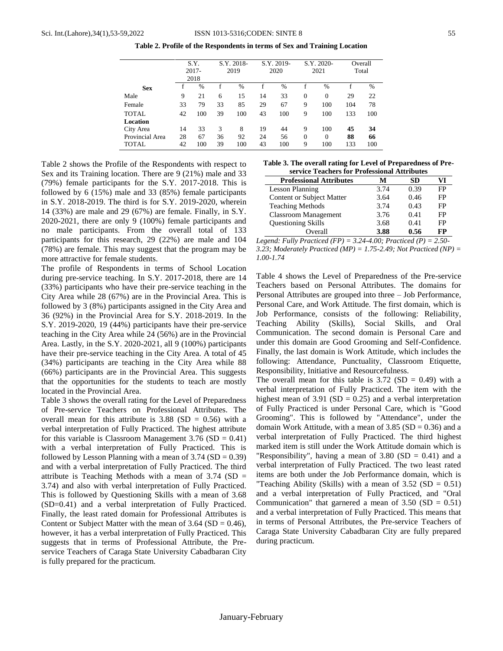**Table 2. Profile of the Respondents in terms of Sex and Training Location**

|                 |    | S.Y.<br>$2017 -$<br>2018 |    | S.Y. 2018-<br>2019 |    | S.Y. 2019-<br>2020 |          | S.Y. 2020-<br>2021 |     | Overall<br>Total |
|-----------------|----|--------------------------|----|--------------------|----|--------------------|----------|--------------------|-----|------------------|
| <b>Sex</b>      |    | $\frac{0}{6}$            |    | $\frac{0}{0}$      |    | $\frac{0}{0}$      |          | $\frac{0}{0}$      |     | $\%$             |
| Male            | 9  | 21                       | 6  | 15                 | 14 | 33                 | $\Omega$ | $\Omega$           | 29  | 22               |
| Female          | 33 | 79                       | 33 | 85                 | 29 | 67                 | 9        | 100                | 104 | 78               |
| <b>TOTAL</b>    | 42 | 100                      | 39 | 100                | 43 | 100                | 9        | 100                | 133 | 100              |
| <b>Location</b> |    |                          |    |                    |    |                    |          |                    |     |                  |
| City Area       | 14 | 33                       | 3  | 8                  | 19 | 44                 | 9        | 100                | 45  | 34               |
| Provincial Area | 28 | 67                       | 36 | 92                 | 24 | 56                 | $\theta$ | $\theta$           | 88  | 66               |
| TOTAL           | 42 | 100                      | 39 | 100                | 43 | 100                | 9        | 100                | 133 | 100              |

Table 2 shows the Profile of the Respondents with respect to Sex and its Training location. There are 9 (21%) male and 33 (79%) female participants for the S.Y. 2017-2018. This is followed by 6 (15%) male and 33 (85%) female participants in S.Y. 2018-2019. The third is for S.Y. 2019-2020, wherein 14 (33%) are male and 29 (67%) are female. Finally, in S.Y. 2020-2021, there are only 9 (100%) female participants and no male participants. From the overall total of 133 participants for this research, 29 (22%) are male and 104 (78%) are female. This may suggest that the program may be more attractive for female students.

The profile of Respondents in terms of School Location during pre-service teaching. In S.Y. 2017-2018, there are 14 (33%) participants who have their pre-service teaching in the City Area while 28 (67%) are in the Provincial Area. This is followed by 3 (8%) participants assigned in the City Area and 36 (92%) in the Provincial Area for S.Y. 2018-2019. In the S.Y. 2019-2020, 19 (44%) participants have their pre-service teaching in the City Area while 24 (56%) are in the Provincial Area. Lastly, in the S.Y. 2020-2021, all 9 (100%) participants have their pre-service teaching in the City Area. A total of 45 (34%) participants are teaching in the City Area while 88 (66%) participants are in the Provincial Area. This suggests that the opportunities for the students to teach are mostly located in the Provincial Area.

Table 3 shows the overall rating for the Level of Preparedness of Pre-service Teachers on Professional Attributes. The overall mean for this attribute is  $3.88$  (SD = 0.56) with a verbal interpretation of Fully Practiced. The highest attribute for this variable is Classroom Management  $3.76$  (SD = 0.41) with a verbal interpretation of Fully Practiced. This is followed by Lesson Planning with a mean of  $3.74$  (SD = 0.39) and with a verbal interpretation of Fully Practiced. The third attribute is Teaching Methods with a mean of  $3.74$  (SD = 3.74) and also with verbal interpretation of Fully Practiced. This is followed by Questioning Skills with a mean of 3.68 (SD=0.41) and a verbal interpretation of Fully Practiced. Finally, the least rated domain for Professional Attributes is Content or Subject Matter with the mean of  $3.64$  (SD = 0.46), however, it has a verbal interpretation of Fully Practiced. This suggests that in terms of Professional Attribute, the Preservice Teachers of Caraga State University Cabadbaran City is fully prepared for the practicum.

**Table 3. The overall rating for Level of Preparedness of Preservice Teachers for Professional Attributes**

| эсі тісе теасисів іді і гогевяднаг тісіндасы |      |      |    |
|----------------------------------------------|------|------|----|
| <b>Professional Attributes</b>               | м    | SD   |    |
| Lesson Planning                              | 3.74 | 0.39 | FP |
| <b>Content or Subject Matter</b>             | 3.64 | 0.46 | FP |
| <b>Teaching Methods</b>                      | 3.74 | 0.43 | FP |
| <b>Classroom Management</b>                  | 3.76 | 0.41 | FP |
| <b>Questioning Skills</b>                    | 3.68 | 0.41 | FP |
| Overall                                      | 3.88 | 0.56 | FP |

*Legend: Fully Practiced (FP) = 3.24-4.00; Practiced (P) = 2.50- 3.23; Moderately Practiced (MP) = 1.75-2.49; Not Practiced (NP) = 1.00-1.74*

Table 4 shows the Level of Preparedness of the Pre-service Teachers based on Personal Attributes. The domains for Personal Attributes are grouped into three – Job Performance, Personal Care, and Work Attitude. The first domain, which is Job Performance, consists of the following: Reliability, Teaching Ability (Skills), Social Skills, and Oral Communication. The second domain is Personal Care and under this domain are Good Grooming and Self-Confidence. Finally, the last domain is Work Attitude, which includes the following: Attendance, Punctuality, Classroom Etiquette, Responsibility, Initiative and Resourcefulness.

The overall mean for this table is  $3.72$  (SD = 0.49) with a verbal interpretation of Fully Practiced. The item with the highest mean of  $3.91$  (SD = 0.25) and a verbal interpretation of Fully Practiced is under Personal Care, which is "Good Grooming". This is followed by "Attendance", under the domain Work Attitude, with a mean of  $3.85$  (SD = 0.36) and a verbal interpretation of Fully Practiced. The third highest marked item is still under the Work Attitude domain which is "Responsibility", having a mean of  $3.80$  (SD = 0.41) and a verbal interpretation of Fully Practiced. The two least rated items are both under the Job Performance domain, which is "Teaching Ability (Skills) with a mean of  $3.52$  (SD = 0.51) and a verbal interpretation of Fully Practiced, and "Oral Communication" that garnered a mean of  $3.50$  (SD = 0.51) and a verbal interpretation of Fully Practiced. This means that in terms of Personal Attributes, the Pre-service Teachers of Caraga State University Cabadbaran City are fully prepared during practicum.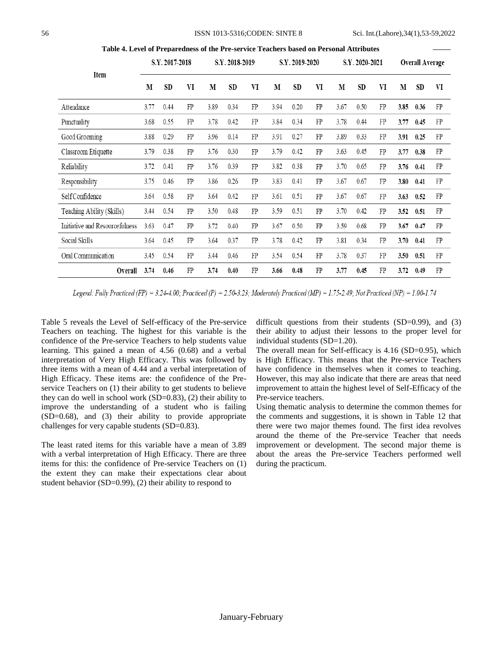#### 56 ISSN 1013-5316;CODEN: SINTE 8 Sci. Int.(Lahore),34(1),53-59,2022

|                                |      | S.Y. 2017-2018 |    |      | S.Y. 2018-2019 |            |      | S.Y. 2019-2020 |    |      | S.Y. 2020-2021 |    |      | Overall Average |    |
|--------------------------------|------|----------------|----|------|----------------|------------|------|----------------|----|------|----------------|----|------|-----------------|----|
| Item                           | M    | SD             | VI | M    | SD             | VI         | M    | <b>SD</b>      | VI | M    | SD             | VI | M    | <b>SD</b>       | VI |
| Attendance                     | 3.77 | 0.44           | FP | 3.89 | 0.34           | FP         | 3.94 | 0.20           | FP | 3.67 | 0.50           | FP | 3.85 | 0.36            | FP |
| Punctuality                    | 3.68 | 0.55           | FP | 3.78 | 0.42           | FP         | 3.84 | 0.34           | FP | 3.78 | 0.44           | FP | 3.77 | 0.45            | FP |
| Good Grooming                  | 3.88 | 0.29           | FP | 3.96 | 0.14           | FP         | 3.91 | 0.27           | FP | 3.89 | 0.33           | FP | 3.91 | 0.25            | FP |
| Classroom Etiquette            | 3.79 | 0.38           | FP | 3.76 | 0.30           | FP         | 3.79 | 0.42           | FP | 3.63 | 0.45           | FP | 3.77 | 0.38            | FP |
| Reliability                    | 3.72 | 0.41           | FP | 3.76 | 0.39           | ${\rm FP}$ | 3.82 | 0.38           | FP | 3.70 | 0.65           | FP | 3.76 | 0.41            | FP |
| Responsibility                 | 3.75 | 0.46           | FP | 3.86 | 0.26           | FP         | 3.83 | 0.41           | FP | 3.67 | 0.67           | FP | 3.80 | 0.41            | FP |
| Self Confidence                | 3.64 | 0.58           | FP | 3.64 | 0.42           | FP         | 3.61 | 0.51           | FP | 3.67 | 0.67           | FP | 3.63 | 0.52            | FP |
| Teaching Ability (Skills)      | 3.44 | 0.54           | FP | 3.50 | 0.48           | FP         | 3.59 | 0.51           | FP | 3.70 | 0.42           | FP | 3.52 | 0.51            | FP |
| Initiative and Resourcefulness | 3.63 | 0.47           | FP | 3.72 | 0.40           | FP         | 3.67 | 0.50           | FP | 3.59 | 0.68           | FP | 3.67 | 0.47            | FP |
| Social Skills                  | 3.64 | 0.45           | FP | 3.64 | 0.37           | FP         | 3.78 | 0.42           | FP | 3.81 | 0.34           | FP | 3.70 | 0.41            | FP |
| Oral Communication             | 3.45 | 0.54           | FP | 3.44 | 0.46           | FP         | 3.54 | 0.54           | FP | 3.78 | 0.37           | FP | 3.50 | 0.51            | FP |
| Overall                        | 3.74 | 0.46           | FP | 3.74 | 0.40           | FP         | 3.66 | 0.48           | FP | 3.77 | 0.45           | FP | 3.72 | 0.49            | FP |

**Table 4. Level of Preparedness of the Pre-service Teachers based on Personal Attributes**

Legend: Fully Practiced (FP) = 3.24-4.00; Practiced (P) = 2.50-3.23; Moderately Practiced (MP) = 1.75-2.49; Not Practiced (NP) = 1.00-1.74

Table 5 reveals the Level of Self-efficacy of the Pre-service Teachers on teaching. The highest for this variable is the confidence of the Pre-service Teachers to help students value learning. This gained a mean of 4.56 (0.68) and a verbal interpretation of Very High Efficacy. This was followed by three items with a mean of 4.44 and a verbal interpretation of High Efficacy. These items are: the confidence of the Preservice Teachers on (1) their ability to get students to believe they can do well in school work (SD=0.83), (2) their ability to improve the understanding of a student who is failing (SD=0.68), and (3) their ability to provide appropriate challenges for very capable students (SD=0.83).

The least rated items for this variable have a mean of 3.89 with a verbal interpretation of High Efficacy. There are three items for this: the confidence of Pre-service Teachers on (1) the extent they can make their expectations clear about student behavior (SD=0.99), (2) their ability to respond to

difficult questions from their students  $(SD=0.99)$ , and  $(3)$ their ability to adjust their lessons to the proper level for individual students (SD=1.20).

The overall mean for Self-efficacy is 4.16 (SD=0.95), which is High Efficacy. This means that the Pre-service Teachers have confidence in themselves when it comes to teaching. However, this may also indicate that there are areas that need improvement to attain the highest level of Self-Efficacy of the Pre-service teachers.

Using thematic analysis to determine the common themes for the comments and suggestions, it is shown in Table 12 that there were two major themes found. The first idea revolves around the theme of the Pre-service Teacher that needs improvement or development. The second major theme is about the areas the Pre-service Teachers performed well during the practicum.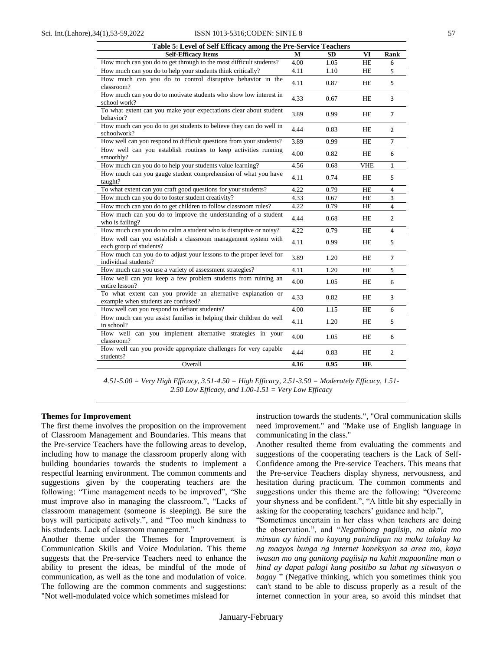#### Sci. Int.(Lahore),34(1),53-59,2022 ISSN 1013-5316;CODEN: SINTE 8 57

| Table 5: Level of Self Efficacy among the Pre-Service Teachers                                      |      |           |            |                |  |  |
|-----------------------------------------------------------------------------------------------------|------|-----------|------------|----------------|--|--|
| <b>Self-Efficacy Items</b>                                                                          | M    | <b>SD</b> | VI         | Rank           |  |  |
| How much can you do to get through to the most difficult students?                                  | 4.00 | 1.05      | HE         | 6              |  |  |
| How much can you do to help your students think critically?                                         | 4.11 | 1.10      | <b>HE</b>  | 5              |  |  |
| How much can you do to control disruptive behavior in the<br>classroom?                             | 4.11 | 0.87      | HE         | 5              |  |  |
| How much can you do to motivate students who show low interest in<br>school work?                   | 4.33 | 0.67      | HE         | 3              |  |  |
| To what extent can you make your expectations clear about student<br>behavior?                      | 3.89 | 0.99      | HE         | $\overline{7}$ |  |  |
| How much can you do to get students to believe they can do well in<br>schoolwork?                   | 4.44 | 0.83      | HE         | $\overline{2}$ |  |  |
| How well can you respond to difficult questions from your students?                                 | 3.89 | 0.99      | HE         | $\overline{7}$ |  |  |
| How well can you establish routines to keep activities running<br>smoothly?                         | 4.00 | 0.82      | HE         | 6              |  |  |
| How much can you do to help your students value learning?                                           | 4.56 | 0.68      | <b>VHE</b> | $\mathbf{1}$   |  |  |
| How much can you gauge student comprehension of what you have<br>taught?                            | 4.11 | 0.74      | HE         | 5              |  |  |
| To what extent can you craft good questions for your students?                                      | 4.22 | 0.79      | <b>HE</b>  | 4              |  |  |
| How much can you do to foster student creativity?                                                   | 4.33 | 0.67      | HE         | 3              |  |  |
| How much can you do to get children to follow classroom rules?                                      | 4.22 | 0.79      | <b>HE</b>  | 4              |  |  |
| How much can you do to improve the understanding of a student<br>who is failing?                    | 4.44 | 0.68      | HE         | $\overline{2}$ |  |  |
| How much can you do to calm a student who is disruptive or noisy?                                   | 4.22 | 0.79      | <b>HE</b>  | 4              |  |  |
| How well can you establish a classroom management system with<br>each group of students?            | 4.11 | 0.99      | HE         | 5              |  |  |
| How much can you do to adjust your lessons to the proper level for<br>individual students?          | 3.89 | 1.20      | HE         | $\overline{7}$ |  |  |
| How much can you use a variety of assessment strategies?                                            | 4.11 | 1.20      | HE         | 5              |  |  |
| How well can you keep a few problem students from ruining an<br>entire lesson?                      | 4.00 | 1.05      | <b>HE</b>  | 6              |  |  |
| To what extent can you provide an alternative explanation or<br>example when students are confused? | 4.33 | 0.82      | HE         | 3              |  |  |
| How well can you respond to defiant students?                                                       | 4.00 | 1.15      | HE         | 6              |  |  |
| How much can you assist families in helping their children do well<br>in school?                    | 4.11 | 1.20      | HE         | 5              |  |  |
| How well can you implement alternative strategies in your<br>classroom?                             | 4.00 | 1.05      | HE         | 6              |  |  |
| How well can you provide appropriate challenges for very capable<br>students?                       | 4.44 | 0.83      | HE         | $\overline{2}$ |  |  |
| Overall                                                                                             | 4.16 | 0.95      | HE         |                |  |  |

*4.51-5.00 = Very High Efficacy, 3.51-4.50 = High Efficacy, 2.51-3.50 = Moderately Efficacy, 1.51- 2.50 Low Efficacy, and 1.00-1.51 = Very Low Efficacy*

#### **Themes for Improvement**

The first theme involves the proposition on the improvement of Classroom Management and Boundaries. This means that the Pre-service Teachers have the following areas to develop, including how to manage the classroom properly along with building boundaries towards the students to implement a respectful learning environment. The common comments and suggestions given by the cooperating teachers are the following: "Time management needs to be improved", "She must improve also in managing the classroom.", "Lacks of classroom management (someone is sleeping). Be sure the boys will participate actively.", and "Too much kindness to his students. Lack of classroom management."

Another theme under the Themes for Improvement is Communication Skills and Voice Modulation. This theme suggests that the Pre-service Teachers need to enhance the ability to present the ideas, be mindful of the mode of communication, as well as the tone and modulation of voice. The following are the common comments and suggestions: "Not well-modulated voice which sometimes mislead for

instruction towards the students.", "Oral communication skills need improvement." and "Make use of English language in communicating in the class."

Another resulted theme from evaluating the comments and suggestions of the cooperating teachers is the Lack of Self-Confidence among the Pre-service Teachers. This means that the Pre-service Teachers display shyness, nervousness, and hesitation during practicum. The common comments and suggestions under this theme are the following: "Overcome your shyness and be confident.", "A little bit shy especially in asking for the cooperating teachers' guidance and help.",

"Sometimes uncertain in her class when teachers are doing the observation.", and "*Negatibong pagiisip, na akala mo minsan ay hindi mo kayang panindigan na maka talakay ka ng maayos bunga ng internet koneksyon sa area mo, kaya iwasan mo ang ganitong pagiisip na kahit mapaonline man o hind ay dapat palagi kang positibo sa lahat ng sitwasyon o bagay* " (Negative thinking, which you sometimes think you can't stand to be able to discuss properly as a result of the internet connection in your area, so avoid this mindset that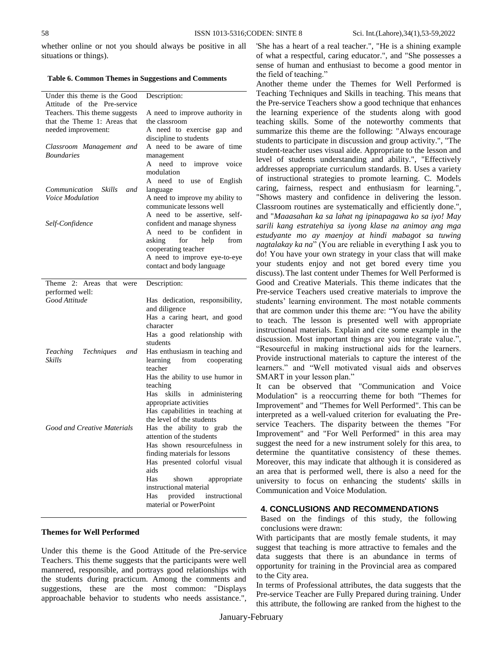whether online or not you should always be positive in all situations or things).

## **Table 6. Common Themes in Suggestions and Comments**

| Under this theme is the Good<br>Attitude of the Pre-service | Description:                                                |
|-------------------------------------------------------------|-------------------------------------------------------------|
| Teachers. This theme suggests                               | A need to improve authority in                              |
| that the Theme 1: Areas that                                | the classroom                                               |
| needed improvement:                                         | A need to exercise gap and                                  |
|                                                             | discipline to students                                      |
| Classroom Management and                                    | A need to be aware of time                                  |
| <i>Boundaries</i>                                           | management                                                  |
|                                                             | need<br>А<br>improve<br>voice<br>to                         |
|                                                             | modulation                                                  |
|                                                             | A<br>need<br>to use of English                              |
| Communication<br>Skills<br>and                              | language                                                    |
| <i>Voice Modulation</i>                                     | A need to improve my ability to                             |
|                                                             | communicate lessons well                                    |
|                                                             | A need to be assertive, self-                               |
| Self-Confidence                                             | confident and manage shyness                                |
|                                                             | to be confident in<br>need<br>A                             |
|                                                             | asking<br>for<br>help<br>from                               |
|                                                             | cooperating teacher                                         |
|                                                             | A need to improve eye-to-eye                                |
|                                                             | contact and body language                                   |
| Theme 2: Areas<br>that<br>were                              | Description:                                                |
| performed well:                                             |                                                             |
| Good Attitude                                               | Has dedication, responsibility,                             |
|                                                             | and diligence                                               |
|                                                             | Has a caring heart, and good                                |
|                                                             | character                                                   |
|                                                             | Has a good relationship with                                |
|                                                             | students                                                    |
| Teaching<br>Techniques<br>and                               | Has enthusiasm in teaching and                              |
| <b>Skills</b>                                               | learning<br>from<br>cooperating                             |
|                                                             | teacher                                                     |
|                                                             | Has the ability to use humor in                             |
|                                                             | teaching                                                    |
|                                                             | Has<br>skills<br>in<br>administering                        |
|                                                             | appropriate activities                                      |
|                                                             | Has capabilities in teaching at                             |
|                                                             | the level of the students                                   |
| Good and Creative Materials                                 | Has the ability to grab<br>the<br>attention of the students |
|                                                             | Has shown resourcefulness in                                |
|                                                             | finding materials for lessons                               |
|                                                             | Has presented colorful visual                               |
|                                                             | aids                                                        |
|                                                             | Has<br>shown<br>appropriate                                 |
|                                                             | instructional material                                      |
|                                                             |                                                             |
|                                                             | Has<br>instructional                                        |
|                                                             | provided<br>material or PowerPoint                          |

## **Themes for Well Performed**

Under this theme is the Good Attitude of the Pre-service Teachers. This theme suggests that the participants were well mannered, responsible, and portrays good relationships with the students during practicum. Among the comments and suggestions, these are the most common: "Displays approachable behavior to students who needs assistance.",

'She has a heart of a real teacher.", "He is a shining example of what a respectful, caring educator.", and "She possesses a sense of human and enthusiast to become a good mentor in the field of teaching."

Another theme under the Themes for Well Performed is Teaching Techniques and Skills in teaching. This means that the Pre-service Teachers show a good technique that enhances the learning experience of the students along with good teaching skills. Some of the noteworthy comments that summarize this theme are the following: "Always encourage students to participate in discussion and group activity.", "The student-teacher uses visual aide. Appropriate to the lesson and level of students understanding and ability.", "Effectively addresses appropriate curriculum standards. B. Uses a variety of instructional strategies to promote learning. C. Models caring, fairness, respect and enthusiasm for learning.", "Shows mastery and confidence in delivering the lesson. Classroom routines are systematically and efficiently done.", and "*Maaasahan ka sa lahat ng ipinapagawa ko sa iyo! May sarili kang estratehiya sa iyong klase na animoy ang mga estudyante mo ay maenjoy at hindi mabagot sa tuwing nagtalakay ka na*" (You are reliable in everything I ask you to do! You have your own strategy in your class that will make your students enjoy and not get bored every time you discuss).The last content under Themes for Well Performed is Good and Creative Materials. This theme indicates that the Pre-service Teachers used creative materials to improve the students' learning environment. The most notable comments that are common under this theme are: "You have the ability to teach. The lesson is presented well with appropriate instructional materials. Explain and cite some example in the discussion. Most important things are you integrate value.", "Resourceful in making instructional aids for the learners. Provide instructional materials to capture the interest of the learners." and "Well motivated visual aids and observes SMART in your lesson plan."

It can be observed that "Communication and Voice Modulation" is a reoccurring theme for both "Themes for Improvement" and "Themes for Well Performed". This can be interpreted as a well-valued criterion for evaluating the Preservice Teachers. The disparity between the themes "For Improvement" and "For Well Performed" in this area may suggest the need for a new instrument solely for this area, to determine the quantitative consistency of these themes. Moreover, this may indicate that although it is considered as an area that is performed well, there is also a need for the university to focus on enhancing the students' skills in Communication and Voice Modulation.

# **4. CONCLUSIONS AND RECOMMENDATIONS**

Based on the findings of this study, the following conclusions were drawn:

With participants that are mostly female students, it may suggest that teaching is more attractive to females and the data suggests that there is an abundance in terms of opportunity for training in the Provincial area as compared to the City area.

In terms of Professional attributes, the data suggests that the Pre-service Teacher are Fully Prepared during training. Under this attribute, the following are ranked from the highest to the